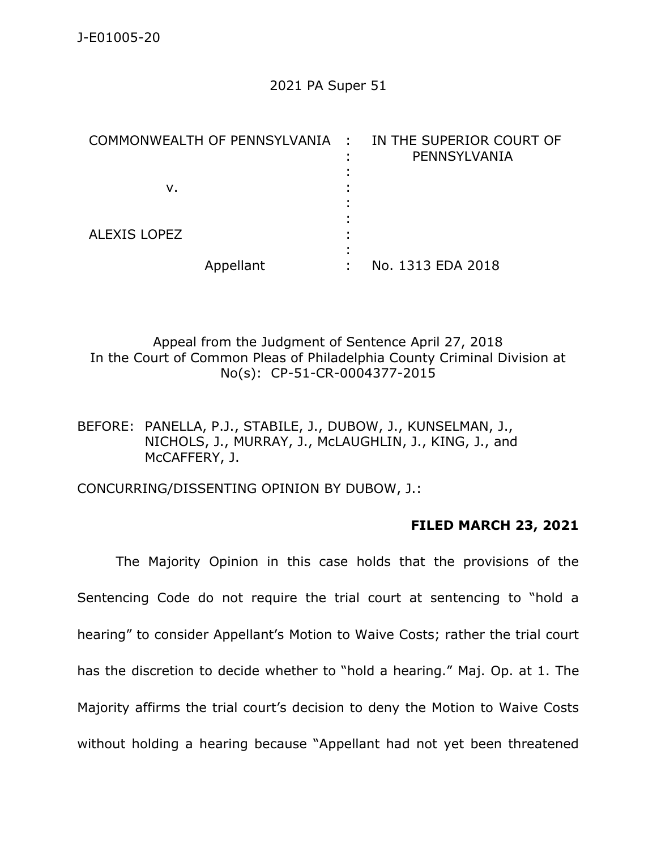## 2021 PA Super 51

| COMMONWEALTH OF PENNSYLVANIA : IN THE SUPERIOR COURT OF | PENNSYLVANIA      |
|---------------------------------------------------------|-------------------|
|                                                         |                   |
| ν.                                                      |                   |
|                                                         |                   |
|                                                         |                   |
| <b>ALEXIS LOPEZ</b>                                     |                   |
|                                                         |                   |
| Appellant                                               | No. 1313 EDA 2018 |

Appeal from the Judgment of Sentence April 27, 2018 In the Court of Common Pleas of Philadelphia County Criminal Division at No(s): CP-51-CR-0004377-2015

BEFORE: PANELLA, P.J., STABILE, J., DUBOW, J., KUNSELMAN, J., NICHOLS, J., MURRAY, J., McLAUGHLIN, J., KING, J., and McCAFFERY, J.

CONCURRING/DISSENTING OPINION BY DUBOW, J.:

## **FILED MARCH 23, 2021**

The Majority Opinion in this case holds that the provisions of the Sentencing Code do not require the trial court at sentencing to "hold a hearing" to consider Appellant's Motion to Waive Costs; rather the trial court has the discretion to decide whether to "hold a hearing." Maj. Op. at 1. The Majority affirms the trial court's decision to deny the Motion to Waive Costs without holding a hearing because "Appellant had not yet been threatened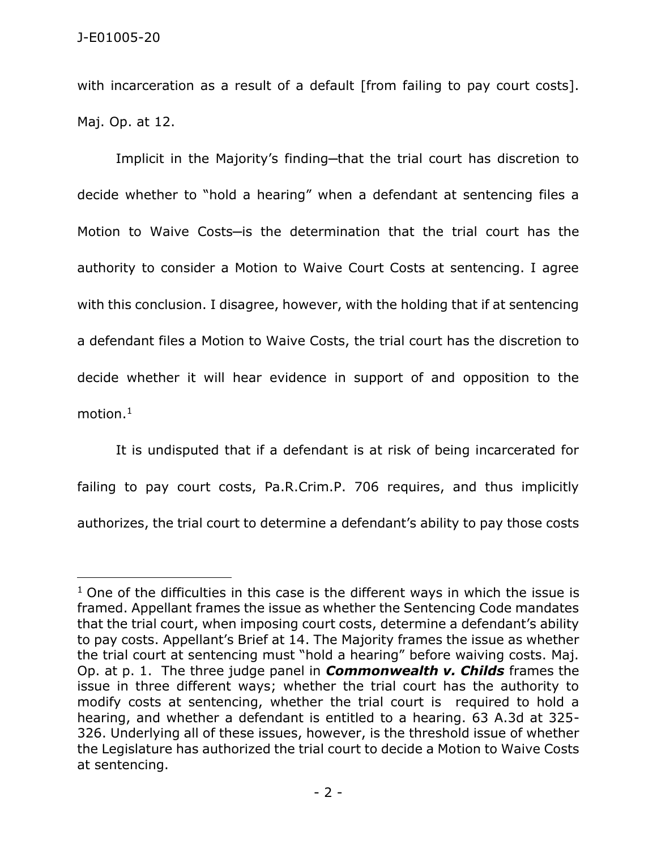$\overline{a}$ 

with incarceration as a result of a default [from failing to pay court costs]. Maj. Op. at 12.

Implicit in the Majority's finding-that the trial court has discretion to decide whether to "hold a hearing" when a defendant at sentencing files a Motion to Waive Costs-is the determination that the trial court has the authority to consider a Motion to Waive Court Costs at sentencing. I agree with this conclusion. I disagree, however, with the holding that if at sentencing a defendant files a Motion to Waive Costs, the trial court has the discretion to decide whether it will hear evidence in support of and opposition to the motion.<sup>1</sup>

It is undisputed that if a defendant is at risk of being incarcerated for failing to pay court costs, Pa.R.Crim.P. 706 requires, and thus implicitly authorizes, the trial court to determine a defendant's ability to pay those costs

 $1$  One of the difficulties in this case is the different ways in which the issue is framed. Appellant frames the issue as whether the Sentencing Code mandates that the trial court, when imposing court costs, determine a defendant's ability to pay costs. Appellant's Brief at 14. The Majority frames the issue as whether the trial court at sentencing must "hold a hearing" before waiving costs. Maj. Op. at p. 1. The three judge panel in *Commonwealth v. Childs* frames the issue in three different ways; whether the trial court has the authority to modify costs at sentencing, whether the trial court is required to hold a hearing, and whether a defendant is entitled to a hearing. 63 A.3d at 325- 326. Underlying all of these issues, however, is the threshold issue of whether the Legislature has authorized the trial court to decide a Motion to Waive Costs at sentencing.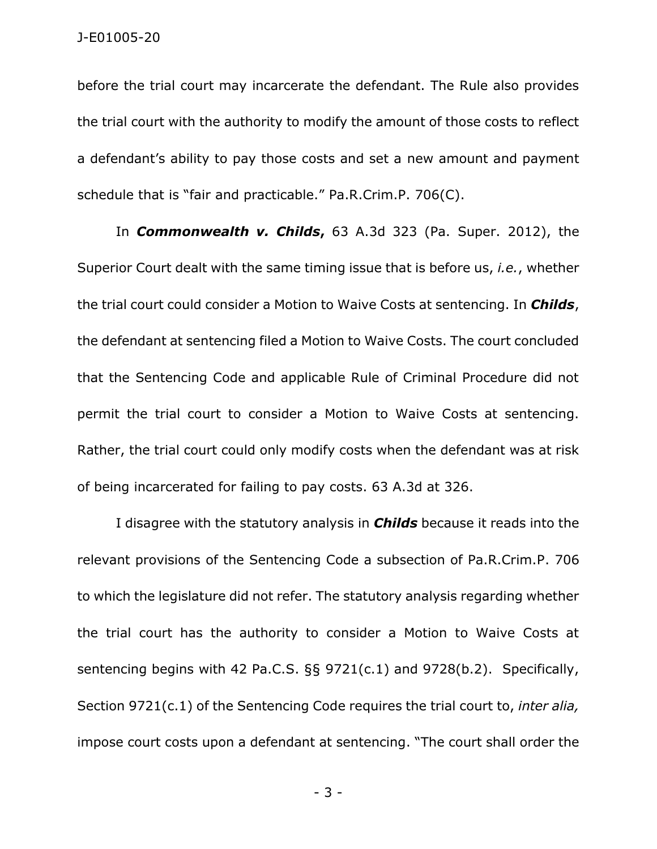before the trial court may incarcerate the defendant. The Rule also provides the trial court with the authority to modify the amount of those costs to reflect a defendant's ability to pay those costs and set a new amount and payment schedule that is "fair and practicable." Pa.R.Crim.P. 706(C).

In *Commonwealth v. Childs***,** 63 A.3d 323 (Pa. Super. 2012), the Superior Court dealt with the same timing issue that is before us, *i.e.*, whether the trial court could consider a Motion to Waive Costs at sentencing. In *Childs*, the defendant at sentencing filed a Motion to Waive Costs. The court concluded that the Sentencing Code and applicable Rule of Criminal Procedure did not permit the trial court to consider a Motion to Waive Costs at sentencing. Rather, the trial court could only modify costs when the defendant was at risk of being incarcerated for failing to pay costs. 63 A.3d at 326.

I disagree with the statutory analysis in *Childs* because it reads into the relevant provisions of the Sentencing Code a subsection of Pa.R.Crim.P. 706 to which the legislature did not refer. The statutory analysis regarding whether the trial court has the authority to consider a Motion to Waive Costs at sentencing begins with 42 Pa.C.S. §§ 9721(c.1) and 9728(b.2). Specifically, Section 9721(c.1) of the Sentencing Code requires the trial court to, *inter alia,* impose court costs upon a defendant at sentencing. "The court shall order the

- 3 -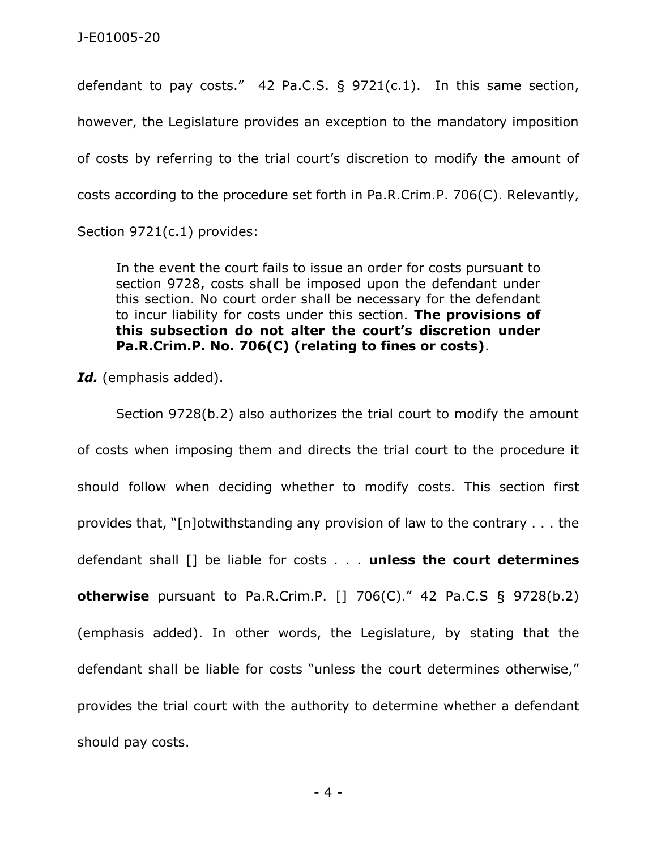defendant to pay costs." 42 Pa.C.S. § 9721(c.1). In this same section, however, the Legislature provides an exception to the mandatory imposition of costs by referring to the trial court's discretion to modify the amount of costs according to the procedure set forth in Pa.R.Crim.P. 706(C). Relevantly,

Section 9721(c.1) provides:

In the event the court fails to issue an order for costs pursuant to section 9728, costs shall be imposed upon the defendant under this section. No court order shall be necessary for the defendant to incur liability for costs under this section. **The provisions of this subsection do not alter the court's discretion under Pa.R.Crim.P. No. 706(C) (relating to fines or costs)**.

Id. (emphasis added).

Section 9728(b.2) also authorizes the trial court to modify the amount of costs when imposing them and directs the trial court to the procedure it should follow when deciding whether to modify costs. This section first provides that, "[n]otwithstanding any provision of law to the contrary . . . the defendant shall [] be liable for costs . . . **unless the court determines otherwise** pursuant to Pa.R.Crim.P. [] 706(C)." 42 Pa.C.S § 9728(b.2) (emphasis added). In other words, the Legislature, by stating that the defendant shall be liable for costs "unless the court determines otherwise," provides the trial court with the authority to determine whether a defendant should pay costs.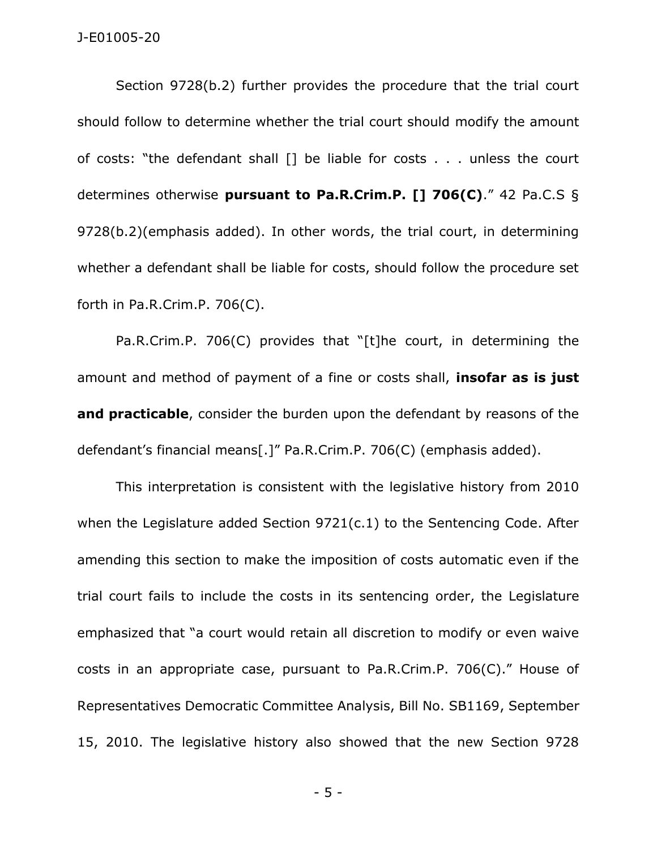Section 9728(b.2) further provides the procedure that the trial court should follow to determine whether the trial court should modify the amount of costs: "the defendant shall [] be liable for costs . . . unless the court determines otherwise **pursuant to Pa.R.Crim.P. [] 706(C)**." 42 Pa.C.S § 9728(b.2)(emphasis added). In other words, the trial court, in determining whether a defendant shall be liable for costs, should follow the procedure set forth in Pa.R.Crim.P. 706(C).

Pa.R.Crim.P. 706(C) provides that "[t]he court, in determining the amount and method of payment of a fine or costs shall, **insofar as is just and practicable**, consider the burden upon the defendant by reasons of the defendant's financial means[.]" Pa.R.Crim.P. 706(C) (emphasis added).

This interpretation is consistent with the legislative history from 2010 when the Legislature added Section 9721(c.1) to the Sentencing Code. After amending this section to make the imposition of costs automatic even if the trial court fails to include the costs in its sentencing order, the Legislature emphasized that "a court would retain all discretion to modify or even waive costs in an appropriate case, pursuant to Pa.R.Crim.P. 706(C)." House of Representatives Democratic Committee Analysis, Bill No. SB1169, September 15, 2010. The legislative history also showed that the new Section 9728

- 5 -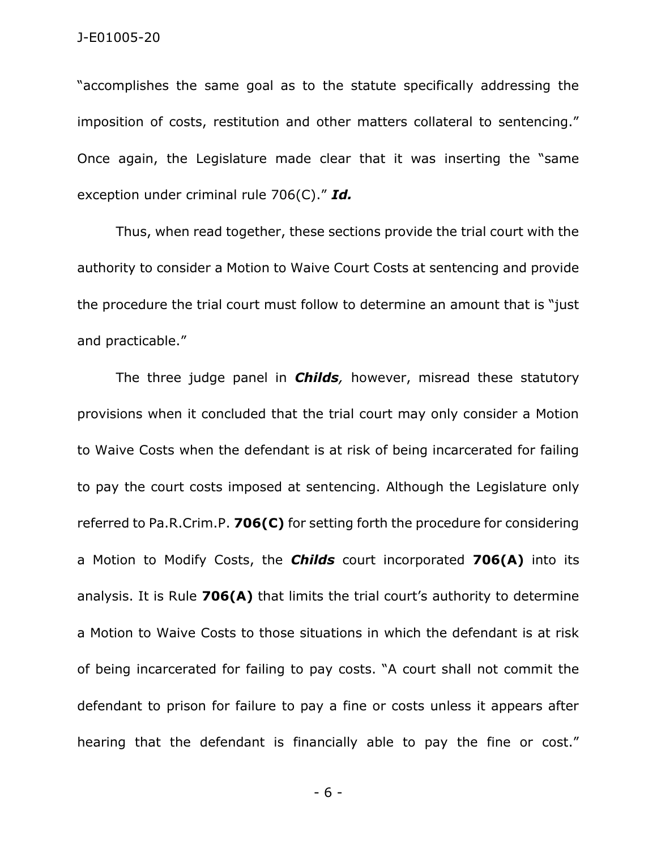"accomplishes the same goal as to the statute specifically addressing the imposition of costs, restitution and other matters collateral to sentencing." Once again, the Legislature made clear that it was inserting the "same exception under criminal rule 706(C)." *Id.*

Thus, when read together, these sections provide the trial court with the authority to consider a Motion to Waive Court Costs at sentencing and provide the procedure the trial court must follow to determine an amount that is "just and practicable."

The three judge panel in *Childs,* however, misread these statutory provisions when it concluded that the trial court may only consider a Motion to Waive Costs when the defendant is at risk of being incarcerated for failing to pay the court costs imposed at sentencing. Although the Legislature only referred to Pa.R.Crim.P. **706(C)** for setting forth the procedure for considering a Motion to Modify Costs, the *Childs* court incorporated **706(A)** into its analysis. It is Rule **706(A)** that limits the trial court's authority to determine a Motion to Waive Costs to those situations in which the defendant is at risk of being incarcerated for failing to pay costs. "A court shall not commit the defendant to prison for failure to pay a fine or costs unless it appears after hearing that the defendant is financially able to pay the fine or cost."

- 6 -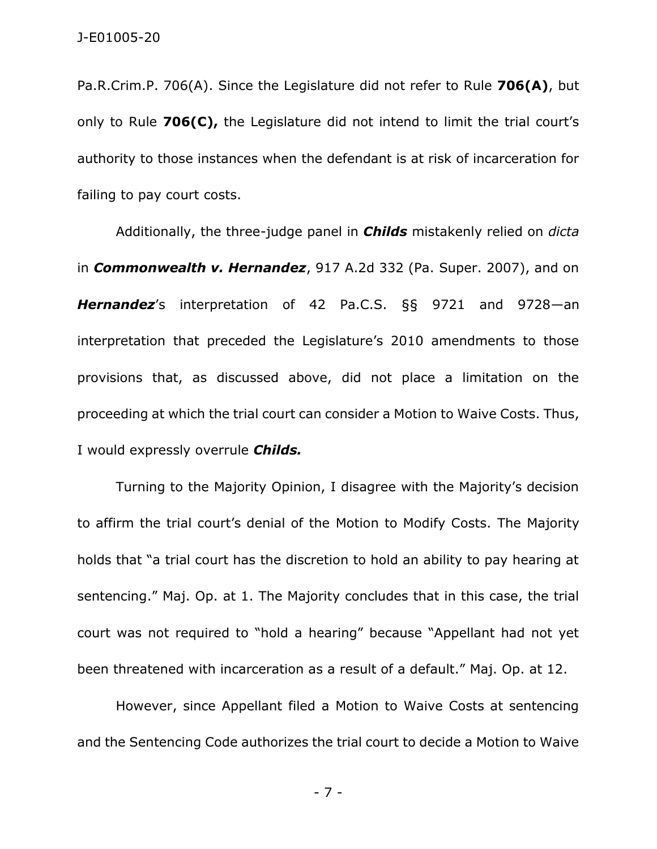Pa.R.Crim.P. 706(A). Since the Legislature did not refer to Rule **706(A)**, but only to Rule **706(C),** the Legislature did not intend to limit the trial court's authority to those instances when the defendant is at risk of incarceration for failing to pay court costs.

Additionally, the three-judge panel in *Childs* mistakenly relied on *dicta*  in *Commonwealth v. Hernandez*, 917 A.2d 332 (Pa. Super. 2007), and on *Hernandez*'s interpretation of 42 Pa.C.S. §§ 9721 and 9728—an interpretation that preceded the Legislature's 2010 amendments to those provisions that, as discussed above, did not place a limitation on the proceeding at which the trial court can consider a Motion to Waive Costs. Thus, I would expressly overrule *Childs.*

Turning to the Majority Opinion, I disagree with the Majority's decision to affirm the trial court's denial of the Motion to Modify Costs. The Majority holds that "a trial court has the discretion to hold an ability to pay hearing at sentencing." Maj. Op. at 1. The Majority concludes that in this case, the trial court was not required to "hold a hearing" because "Appellant had not yet been threatened with incarceration as a result of a default." Maj. Op. at 12.

However, since Appellant filed a Motion to Waive Costs at sentencing and the Sentencing Code authorizes the trial court to decide a Motion to Waive

- 7 -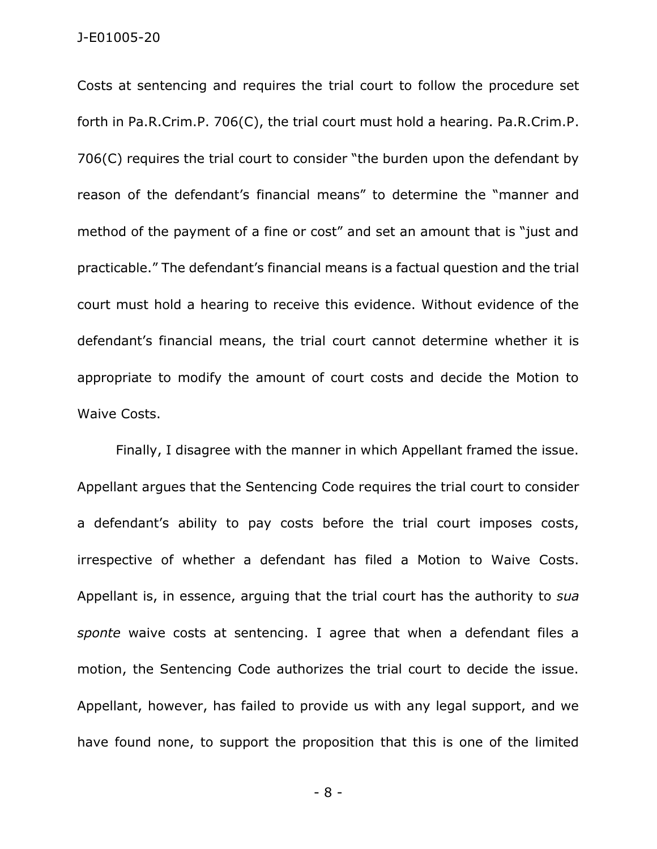Costs at sentencing and requires the trial court to follow the procedure set forth in Pa.R.Crim.P. 706(C), the trial court must hold a hearing. Pa.R.Crim.P. 706(C) requires the trial court to consider "the burden upon the defendant by reason of the defendant's financial means" to determine the "manner and method of the payment of a fine or cost" and set an amount that is "just and practicable." The defendant's financial means is a factual question and the trial court must hold a hearing to receive this evidence. Without evidence of the defendant's financial means, the trial court cannot determine whether it is appropriate to modify the amount of court costs and decide the Motion to Waive Costs.

Finally, I disagree with the manner in which Appellant framed the issue. Appellant argues that the Sentencing Code requires the trial court to consider a defendant's ability to pay costs before the trial court imposes costs, irrespective of whether a defendant has filed a Motion to Waive Costs. Appellant is, in essence, arguing that the trial court has the authority to *sua sponte* waive costs at sentencing. I agree that when a defendant files a motion, the Sentencing Code authorizes the trial court to decide the issue. Appellant, however, has failed to provide us with any legal support, and we have found none, to support the proposition that this is one of the limited

- 8 -